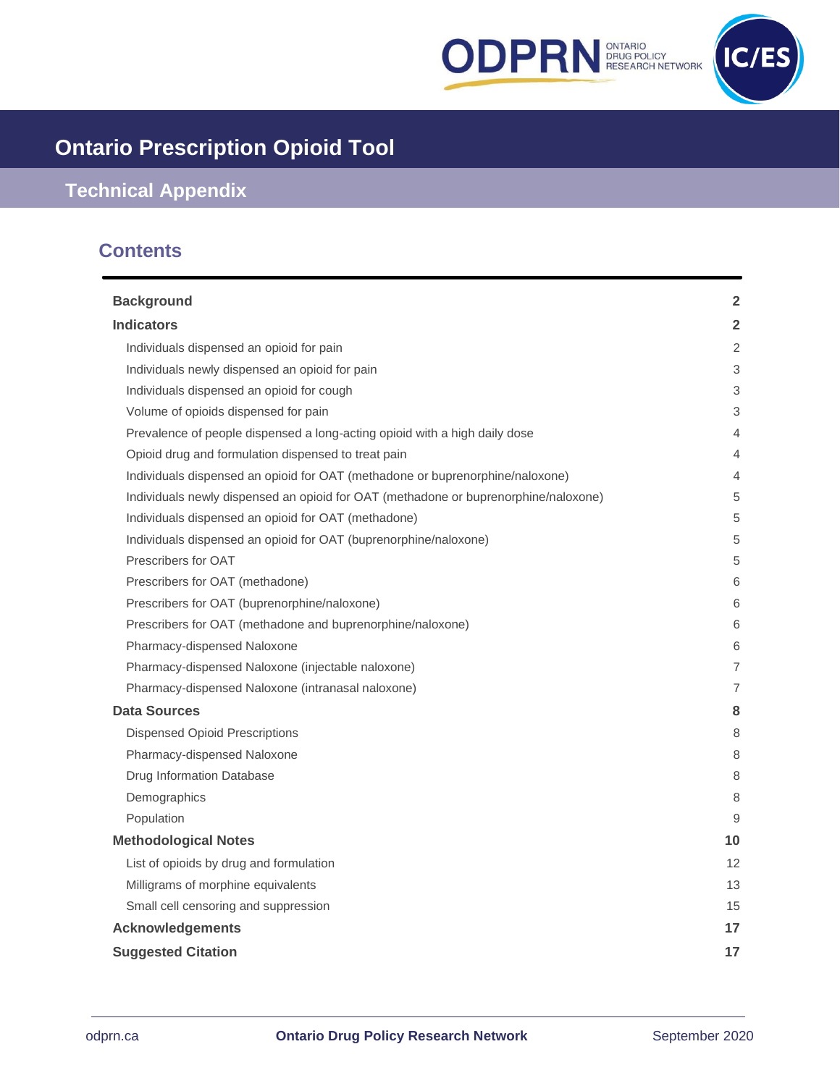



# **Ontario Prescription Opioid Tool**

# **Technical Appendix**

# **Contents**

| <b>Background</b>                                                                   | $\overline{2}$ |
|-------------------------------------------------------------------------------------|----------------|
| <b>Indicators</b>                                                                   | $\overline{2}$ |
| Individuals dispensed an opioid for pain                                            | 2              |
| Individuals newly dispensed an opioid for pain                                      | 3              |
| Individuals dispensed an opioid for cough                                           | 3              |
| Volume of opioids dispensed for pain                                                | 3              |
| Prevalence of people dispensed a long-acting opioid with a high daily dose          | $\overline{4}$ |
| Opioid drug and formulation dispensed to treat pain                                 | 4              |
| Individuals dispensed an opioid for OAT (methadone or buprenorphine/naloxone)       | 4              |
| Individuals newly dispensed an opioid for OAT (methadone or buprenorphine/naloxone) | 5              |
| Individuals dispensed an opioid for OAT (methadone)                                 | 5              |
| Individuals dispensed an opioid for OAT (buprenorphine/naloxone)                    | 5              |
| Prescribers for OAT                                                                 | 5              |
| Prescribers for OAT (methadone)                                                     | 6              |
| Prescribers for OAT (buprenorphine/naloxone)                                        | 6              |
| Prescribers for OAT (methadone and buprenorphine/naloxone)                          | 6              |
| Pharmacy-dispensed Naloxone                                                         | 6              |
| Pharmacy-dispensed Naloxone (injectable naloxone)                                   | $\overline{7}$ |
| Pharmacy-dispensed Naloxone (intranasal naloxone)                                   | 7              |
| Data Sources                                                                        | 8              |
| <b>Dispensed Opioid Prescriptions</b>                                               | 8              |
| Pharmacy-dispensed Naloxone                                                         | 8              |
| <b>Drug Information Database</b>                                                    | 8              |
| Demographics                                                                        | 8              |
| Population                                                                          | 9              |
| <b>Methodological Notes</b>                                                         | 10             |
| List of opioids by drug and formulation                                             | 12             |
| Milligrams of morphine equivalents                                                  | 13             |
| Small cell censoring and suppression                                                | 15             |
| <b>Acknowledgements</b>                                                             | 17             |
| <b>Suggested Citation</b>                                                           | 17             |
|                                                                                     |                |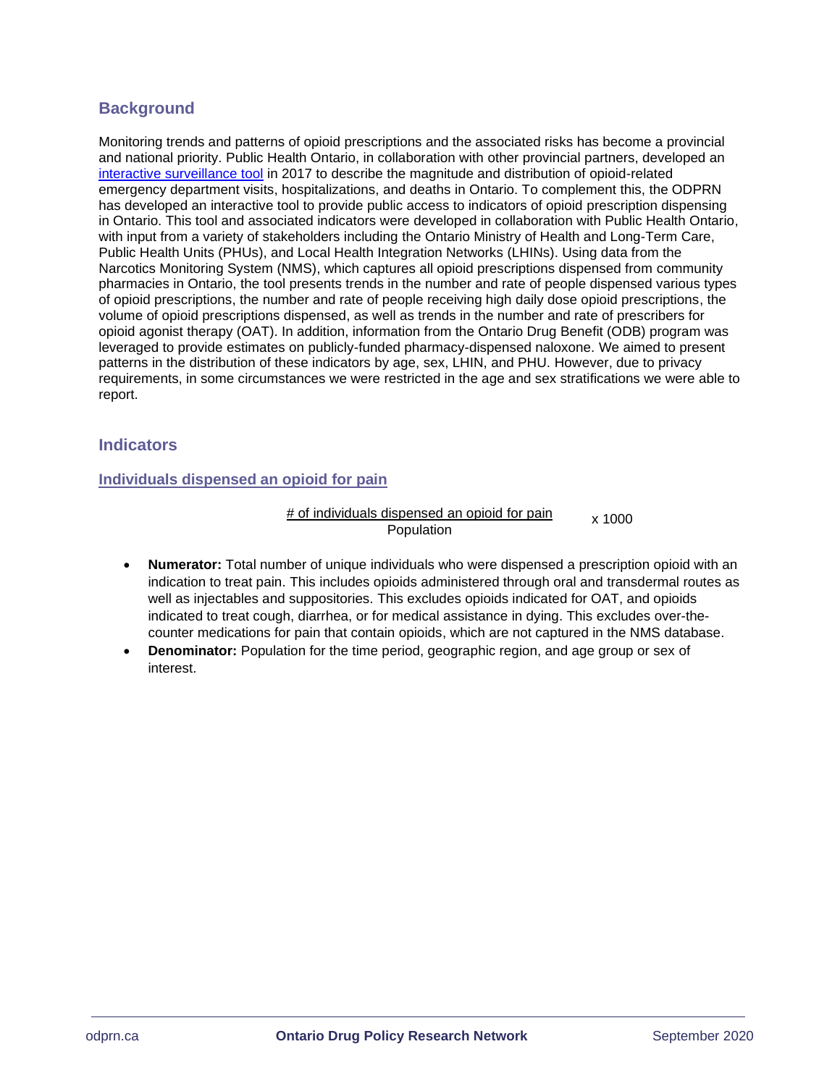# <span id="page-1-0"></span>**Background**

Monitoring trends and patterns of opioid prescriptions and the associated risks has become a provincial and national priority. Public Health Ontario, in collaboration with other provincial partners, developed an interactive [surveillance tool](http://www.publichealthontario.ca/en/dataandanalytics/pages/opioid.aspx) in 2017 to describe the magnitude and distribution of opioid-related emergency department visits, hospitalizations, and deaths in Ontario. To complement this, the ODPRN has developed an interactive tool to provide public access to indicators of opioid prescription dispensing in Ontario. This tool and associated indicators were developed in collaboration with Public Health Ontario, with input from a variety of stakeholders including the Ontario Ministry of Health and Long-Term Care, Public Health Units (PHUs), and Local Health Integration Networks (LHINs). Using data from the Narcotics Monitoring System (NMS), which captures all opioid prescriptions dispensed from community pharmacies in Ontario, the tool presents trends in the number and rate of people dispensed various types of opioid prescriptions, the number and rate of people receiving high daily dose opioid prescriptions, the volume of opioid prescriptions dispensed, as well as trends in the number and rate of prescribers for opioid agonist therapy (OAT). In addition, information from the Ontario Drug Benefit (ODB) program was leveraged to provide estimates on publicly-funded pharmacy-dispensed naloxone. We aimed to present patterns in the distribution of these indicators by age, sex, LHIN, and PHU. However, due to privacy requirements, in some circumstances we were restricted in the age and sex stratifications we were able to report.

# <span id="page-1-1"></span>**Indicators**

# <span id="page-1-2"></span>**Individuals dispensed an opioid for pain**

#### # of individuals dispensed an opioid for pain Population x 1000

- **Numerator:** Total number of unique individuals who were dispensed a prescription opioid with an indication to treat pain. This includes opioids administered through oral and transdermal routes as well as injectables and suppositories. This excludes opioids indicated for OAT, and opioids indicated to treat cough, diarrhea, or for medical assistance in dying. This excludes over-thecounter medications for pain that contain opioids, which are not captured in the NMS database.
- **Denominator:** Population for the time period, geographic region, and age group or sex of interest.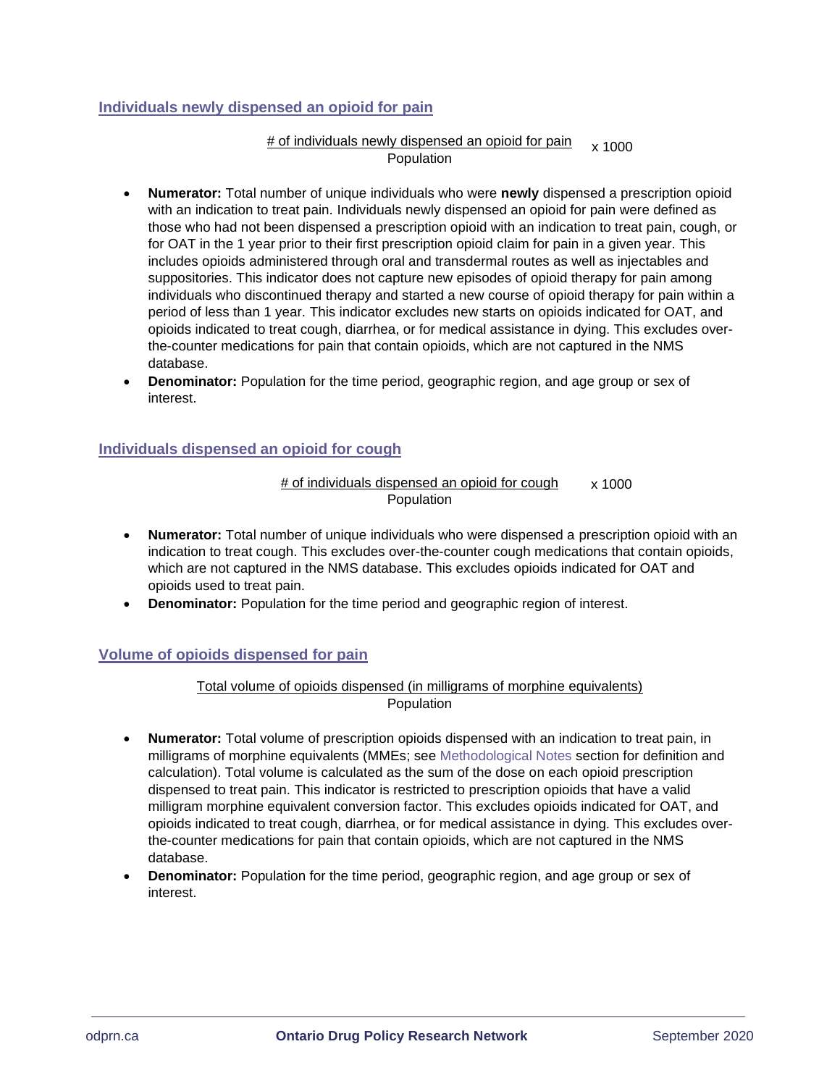# <span id="page-2-0"></span>**Individuals newly dispensed an opioid for pain**

### # of individuals newly dispensed an opioid for pain x 1000Population

- **Numerator:** Total number of unique individuals who were **newly** dispensed a prescription opioid with an indication to treat pain. Individuals newly dispensed an opioid for pain were defined as those who had not been dispensed a prescription opioid with an indication to treat pain, cough, or for OAT in the 1 year prior to their first prescription opioid claim for pain in a given year. This includes opioids administered through oral and transdermal routes as well as injectables and suppositories. This indicator does not capture new episodes of opioid therapy for pain among individuals who discontinued therapy and started a new course of opioid therapy for pain within a period of less than 1 year. This indicator excludes new starts on opioids indicated for OAT, and opioids indicated to treat cough, diarrhea, or for medical assistance in dying. This excludes overthe-counter medications for pain that contain opioids, which are not captured in the NMS database.
- **Denominator:** Population for the time period, geographic region, and age group or sex of interest.

# <span id="page-2-1"></span>**Individuals dispensed an opioid for cough**

#### # of individuals dispensed an opioid for cough Population x 1000

- **Numerator:** Total number of unique individuals who were dispensed a prescription opioid with an indication to treat cough. This excludes over-the-counter cough medications that contain opioids, which are not captured in the NMS database. This excludes opioids indicated for OAT and opioids used to treat pain.
- **Denominator:** Population for the time period and geographic region of interest.

# <span id="page-2-2"></span>**Volume of opioids dispensed for pain**

### Total volume of opioids dispensed (in milligrams of morphine equivalents) Population

- **Numerator:** Total volume of prescription opioids dispensed with an indication to treat pain, in milligrams of morphine equivalents (MMEs; see [Methodological Notes](#page-9-0) section for definition and calculation). Total volume is calculated as the sum of the dose on each opioid prescription dispensed to treat pain. This indicator is restricted to prescription opioids that have a valid milligram morphine equivalent conversion factor. This excludes opioids indicated for OAT, and opioids indicated to treat cough, diarrhea, or for medical assistance in dying. This excludes overthe-counter medications for pain that contain opioids, which are not captured in the NMS database.
- **Denominator:** Population for the time period, geographic region, and age group or sex of interest.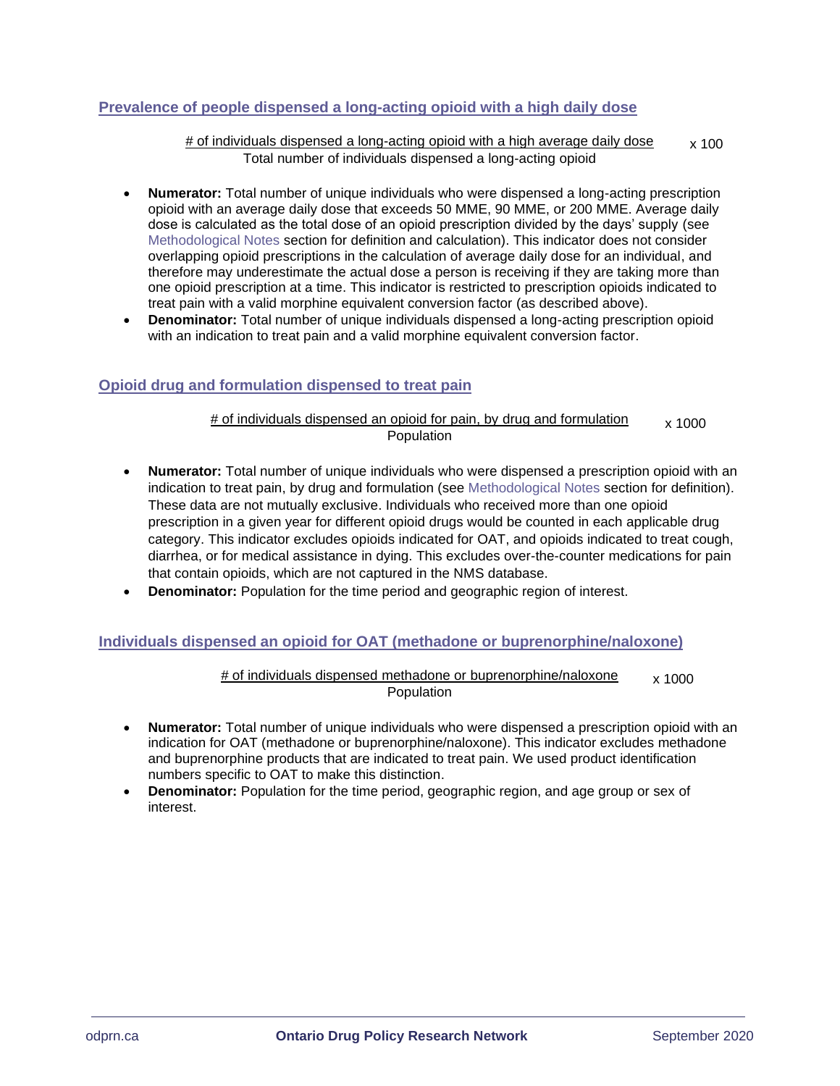# <span id="page-3-0"></span>**Prevalence of people dispensed a long-acting opioid with a high daily dose**

# of individuals dispensed a long-acting opioid with a high average daily dose Total number of individuals dispensed a long-acting opioid x 100

- **Numerator:** Total number of unique individuals who were dispensed a long-acting prescription opioid with an average daily dose that exceeds 50 MME, 90 MME, or 200 MME. Average daily dose is calculated as the total dose of an opioid prescription divided by the days' supply (see [Methodological Notes](#page-9-0) section for definition and calculation). This indicator does not consider overlapping opioid prescriptions in the calculation of average daily dose for an individual, and therefore may underestimate the actual dose a person is receiving if they are taking more than one opioid prescription at a time. This indicator is restricted to prescription opioids indicated to treat pain with a valid morphine equivalent conversion factor (as described above).
- **Denominator:** Total number of unique individuals dispensed a long-acting prescription opioid with an indication to treat pain and a valid morphine equivalent conversion factor.

# <span id="page-3-1"></span>**Opioid drug and formulation dispensed to treat pain**

# of individuals dispensed an opioid for pain, by drug and formulation Population x 1000

- **Numerator:** Total number of unique individuals who were dispensed a prescription opioid with an indication to treat pain, by drug and formulation (see [Methodological Notes](#page-9-0) section for definition). These data are not mutually exclusive. Individuals who received more than one opioid prescription in a given year for different opioid drugs would be counted in each applicable drug category. This indicator excludes opioids indicated for OAT, and opioids indicated to treat cough, diarrhea, or for medical assistance in dying. This excludes over-the-counter medications for pain that contain opioids, which are not captured in the NMS database.
- **Denominator:** Population for the time period and geographic region of interest.

#### <span id="page-3-2"></span>**Individuals dispensed an opioid for OAT (methadone or buprenorphine/naloxone)**

# of individuals dispensed methadone or buprenorphine/naloxone Population x 1000

- **Numerator:** Total number of unique individuals who were dispensed a prescription opioid with an indication for OAT (methadone or buprenorphine/naloxone). This indicator excludes methadone and buprenorphine products that are indicated to treat pain. We used product identification numbers specific to OAT to make this distinction.
- **Denominator:** Population for the time period, geographic region, and age group or sex of interest.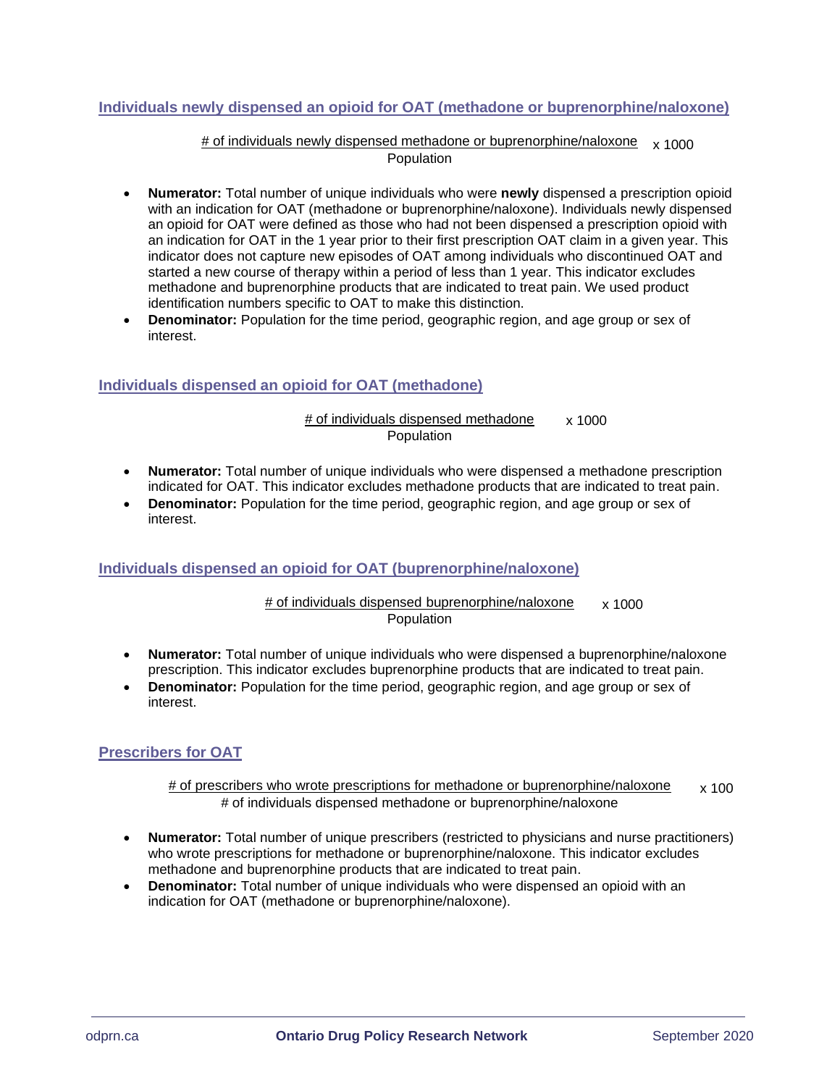# <span id="page-4-0"></span>**Individuals newly dispensed an opioid for OAT (methadone or buprenorphine/naloxone)**

#### # of individuals newly dispensed methadone or buprenorphine/naloxone x 1000Population

- **Numerator:** Total number of unique individuals who were **newly** dispensed a prescription opioid with an indication for OAT (methadone or buprenorphine/naloxone). Individuals newly dispensed an opioid for OAT were defined as those who had not been dispensed a prescription opioid with an indication for OAT in the 1 year prior to their first prescription OAT claim in a given year. This indicator does not capture new episodes of OAT among individuals who discontinued OAT and started a new course of therapy within a period of less than 1 year. This indicator excludes methadone and buprenorphine products that are indicated to treat pain. We used product identification numbers specific to OAT to make this distinction.
- **Denominator:** Population for the time period, geographic region, and age group or sex of interest.

# <span id="page-4-1"></span>**Individuals dispensed an opioid for OAT (methadone)**

#### # of individuals dispensed methadone Population x 1000

- **Numerator:** Total number of unique individuals who were dispensed a methadone prescription indicated for OAT. This indicator excludes methadone products that are indicated to treat pain.
- **Denominator:** Population for the time period, geographic region, and age group or sex of interest.

# <span id="page-4-2"></span>**Individuals dispensed an opioid for OAT (buprenorphine/naloxone)**

#### # of individuals dispensed buprenorphine/naloxone Population x 1000

- **Numerator:** Total number of unique individuals who were dispensed a buprenorphine/naloxone prescription. This indicator excludes buprenorphine products that are indicated to treat pain.
- **Denominator:** Population for the time period, geographic region, and age group or sex of interest.

# <span id="page-4-3"></span>**Prescribers for OAT**

#### # of prescribers who wrote prescriptions for methadone or buprenorphine/naloxone # of individuals dispensed methadone or buprenorphine/naloxone x 100

- **Numerator:** Total number of unique prescribers (restricted to physicians and nurse practitioners) who wrote prescriptions for methadone or buprenorphine/naloxone. This indicator excludes methadone and buprenorphine products that are indicated to treat pain.
- **Denominator:** Total number of unique individuals who were dispensed an opioid with an indication for OAT (methadone or buprenorphine/naloxone).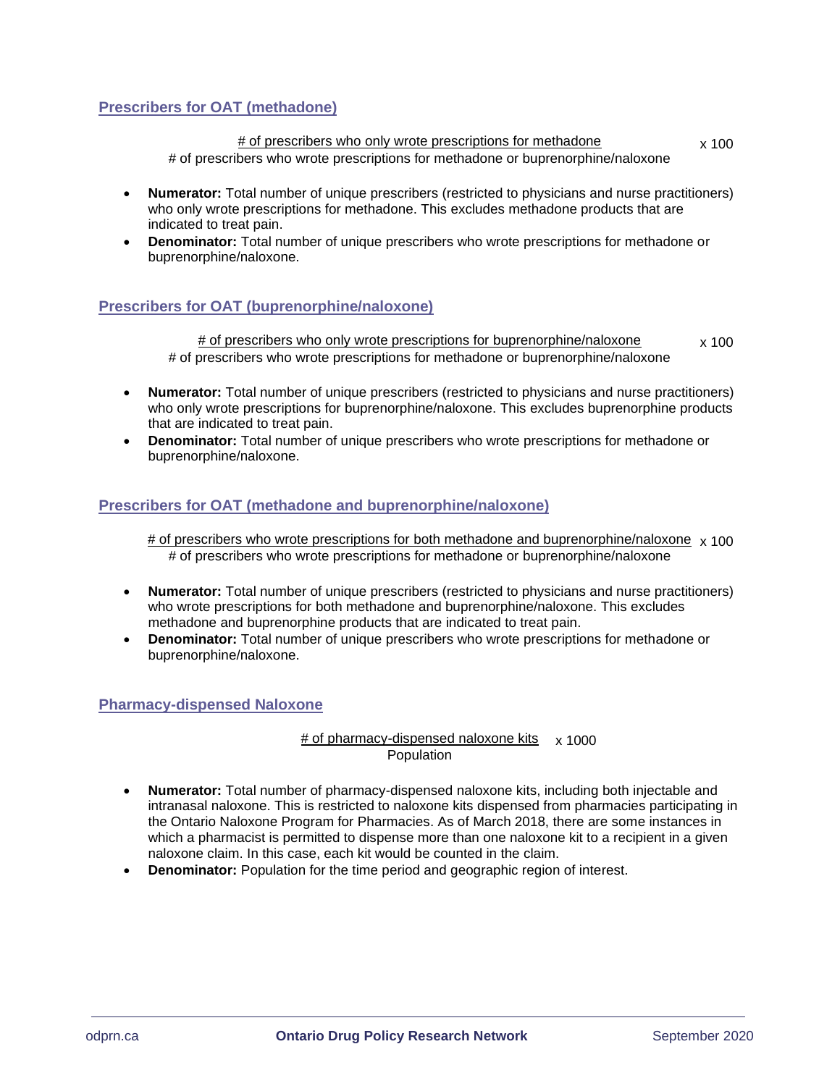# <span id="page-5-0"></span>**Prescribers for OAT (methadone)**

# of prescribers who only wrote prescriptions for methadone # of prescribers who wrote prescriptions for methadone or buprenorphine/naloxone x 100

- **Numerator:** Total number of unique prescribers (restricted to physicians and nurse practitioners) who only wrote prescriptions for methadone. This excludes methadone products that are indicated to treat pain.
- **Denominator:** Total number of unique prescribers who wrote prescriptions for methadone or buprenorphine/naloxone.

# <span id="page-5-1"></span>**Prescribers for OAT (buprenorphine/naloxone)**

# of prescribers who only wrote prescriptions for buprenorphine/naloxone # of prescribers who wrote prescriptions for methadone or buprenorphine/naloxone x 100

- **Numerator:** Total number of unique prescribers (restricted to physicians and nurse practitioners) who only wrote prescriptions for buprenorphine/naloxone. This excludes buprenorphine products that are indicated to treat pain.
- **Denominator:** Total number of unique prescribers who wrote prescriptions for methadone or buprenorphine/naloxone.

# <span id="page-5-2"></span>**Prescribers for OAT (methadone and buprenorphine/naloxone)**

# of prescribers who wrote prescriptions for both methadone and buprenorphine/naloxone x 100 # of prescribers who wrote prescriptions for methadone or buprenorphine/naloxone

- **Numerator:** Total number of unique prescribers (restricted to physicians and nurse practitioners) who wrote prescriptions for both methadone and buprenorphine/naloxone. This excludes methadone and buprenorphine products that are indicated to treat pain.
- **Denominator:** Total number of unique prescribers who wrote prescriptions for methadone or buprenorphine/naloxone.

# <span id="page-5-3"></span>**Pharmacy-dispensed Naloxone**

### # of pharmacy-dispensed naloxone kits x 1000Population

- **Numerator:** Total number of pharmacy-dispensed naloxone kits, including both injectable and intranasal naloxone. This is restricted to naloxone kits dispensed from pharmacies participating in the Ontario Naloxone Program for Pharmacies. As of March 2018, there are some instances in which a pharmacist is permitted to dispense more than one naloxone kit to a recipient in a given naloxone claim. In this case, each kit would be counted in the claim.
- **Denominator:** Population for the time period and geographic region of interest.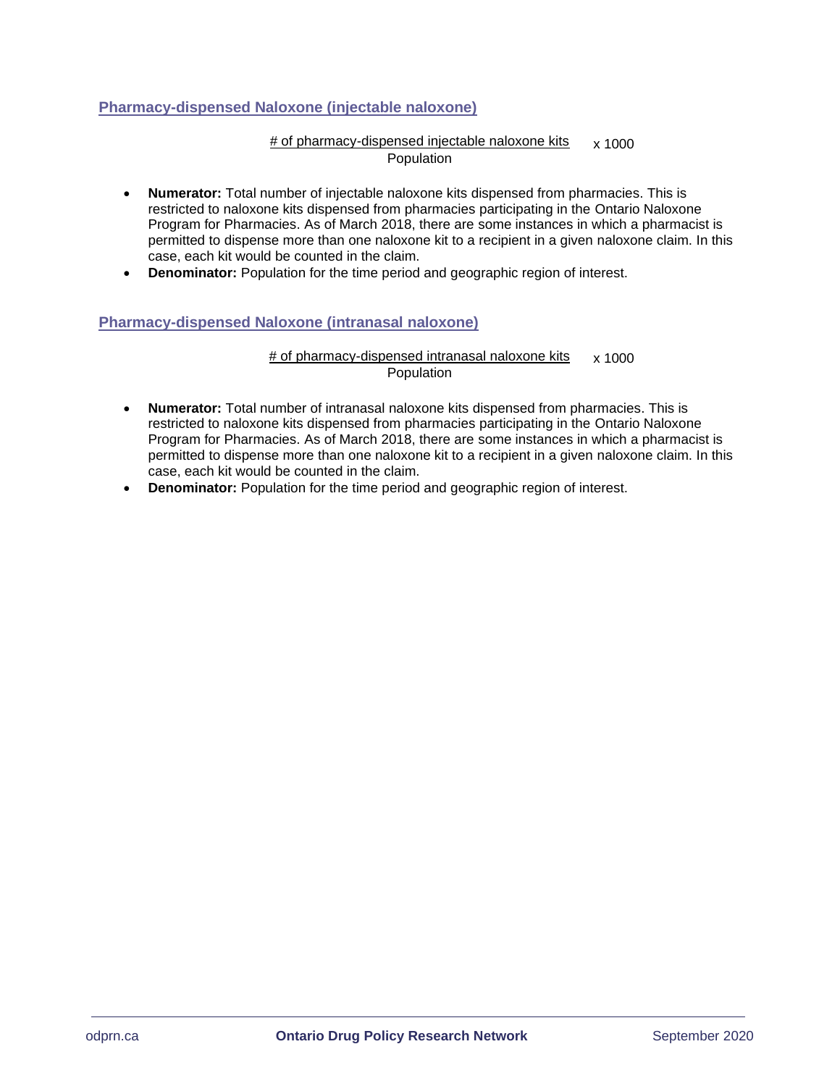# <span id="page-6-0"></span>**Pharmacy-dispensed Naloxone (injectable naloxone)**

#### # of pharmacy-dispensed injectable naloxone kits Population x 1000

- **Numerator:** Total number of injectable naloxone kits dispensed from pharmacies. This is restricted to naloxone kits dispensed from pharmacies participating in the Ontario Naloxone Program for Pharmacies. As of March 2018, there are some instances in which a pharmacist is permitted to dispense more than one naloxone kit to a recipient in a given naloxone claim. In this case, each kit would be counted in the claim.
- **Denominator:** Population for the time period and geographic region of interest.

# <span id="page-6-1"></span>**Pharmacy-dispensed Naloxone (intranasal naloxone)**

# of pharmacy-dispensed intranasal naloxone kits **Population**  $x 1000$ 

- **Numerator:** Total number of intranasal naloxone kits dispensed from pharmacies. This is restricted to naloxone kits dispensed from pharmacies participating in the Ontario Naloxone Program for Pharmacies. As of March 2018, there are some instances in which a pharmacist is permitted to dispense more than one naloxone kit to a recipient in a given naloxone claim. In this case, each kit would be counted in the claim.
- **Denominator:** Population for the time period and geographic region of interest.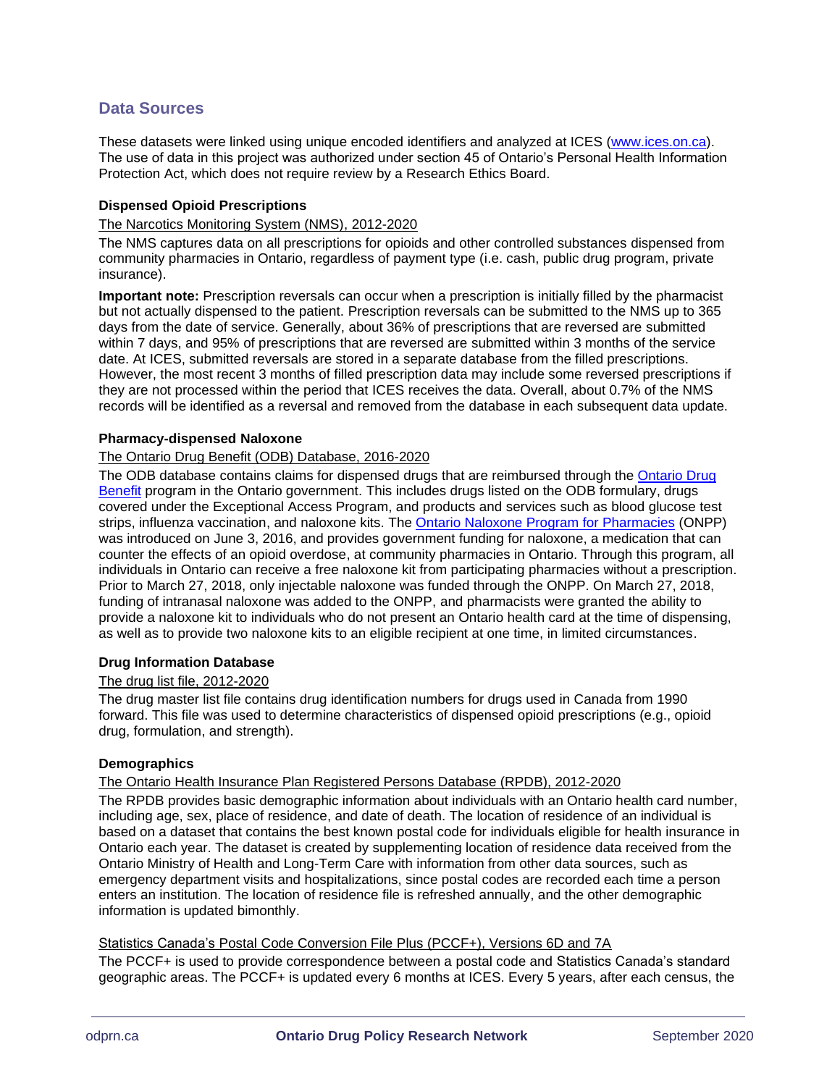# <span id="page-7-0"></span>**Data Sources**

These datasets were linked using unique encoded identifiers and analyzed at ICES [\(www.ices.on.ca\)](http://www.ices.on.ca/). The use of data in this project was authorized under section 45 of Ontario's Personal Health Information Protection Act, which does not require review by a Research Ethics Board.

#### <span id="page-7-1"></span>**Dispensed Opioid Prescriptions**

#### The Narcotics Monitoring System (NMS), 2012-2020

The NMS captures data on all prescriptions for opioids and other controlled substances dispensed from community pharmacies in Ontario, regardless of payment type (i.e. cash, public drug program, private insurance).

**Important note:** Prescription reversals can occur when a prescription is initially filled by the pharmacist but not actually dispensed to the patient. Prescription reversals can be submitted to the NMS up to 365 days from the date of service. Generally, about 36% of prescriptions that are reversed are submitted within 7 days, and 95% of prescriptions that are reversed are submitted within 3 months of the service date. At ICES, submitted reversals are stored in a separate database from the filled prescriptions. However, the most recent 3 months of filled prescription data may include some reversed prescriptions if they are not processed within the period that ICES receives the data. Overall, about 0.7% of the NMS records will be identified as a reversal and removed from the database in each subsequent data update.

#### <span id="page-7-2"></span>**Pharmacy-dispensed Naloxone**

#### The Ontario Drug Benefit (ODB) Database, 2016-2020

The ODB database contains claims for dispensed drugs that are reimbursed through the Ontario Drug [Benefit](https://www.ontario.ca/page/get-coverage-prescription-drugs) program in the Ontario government. This includes drugs listed on the ODB formulary, drugs covered under the Exceptional Access Program, and products and services such as blood glucose test strips, influenza vaccination, and naloxone kits. The [Ontario Naloxone Program for Pharmacies](https://www.ontario.ca/page/get-naloxone-kits-free) (ONPP) was introduced on June 3, 2016, and provides government funding for naloxone, a medication that can counter the effects of an opioid overdose, at community pharmacies in Ontario. Through this program, all individuals in Ontario can receive a free naloxone kit from participating pharmacies without a prescription. Prior to March 27, 2018, only injectable naloxone was funded through the ONPP. On March 27, 2018, funding of intranasal naloxone was added to the ONPP, and pharmacists were granted the ability to provide a naloxone kit to individuals who do not present an Ontario health card at the time of dispensing, as well as to provide two naloxone kits to an eligible recipient at one time, in limited circumstances.

#### <span id="page-7-3"></span>**Drug Information Database**

#### The drug list file, 2012-2020

The drug master list file contains drug identification numbers for drugs used in Canada from 1990 forward. This file was used to determine characteristics of dispensed opioid prescriptions (e.g., opioid drug, formulation, and strength).

#### <span id="page-7-4"></span>**Demographics**

#### The Ontario Health Insurance Plan Registered Persons Database (RPDB), 2012-2020

The RPDB provides basic demographic information about individuals with an Ontario health card number, including age, sex, place of residence, and date of death. The location of residence of an individual is based on a dataset that contains the best known postal code for individuals eligible for health insurance in Ontario each year. The dataset is created by supplementing location of residence data received from the Ontario Ministry of Health and Long-Term Care with information from other data sources, such as emergency department visits and hospitalizations, since postal codes are recorded each time a person enters an institution. The location of residence file is refreshed annually, and the other demographic information is updated bimonthly.

#### Statistics Canada's Postal Code Conversion File Plus (PCCF+), Versions 6D and 7A

The PCCF+ is used to provide correspondence between a postal code and Statistics Canada's standard geographic areas. The PCCF+ is updated every 6 months at ICES. Every 5 years, after each census, the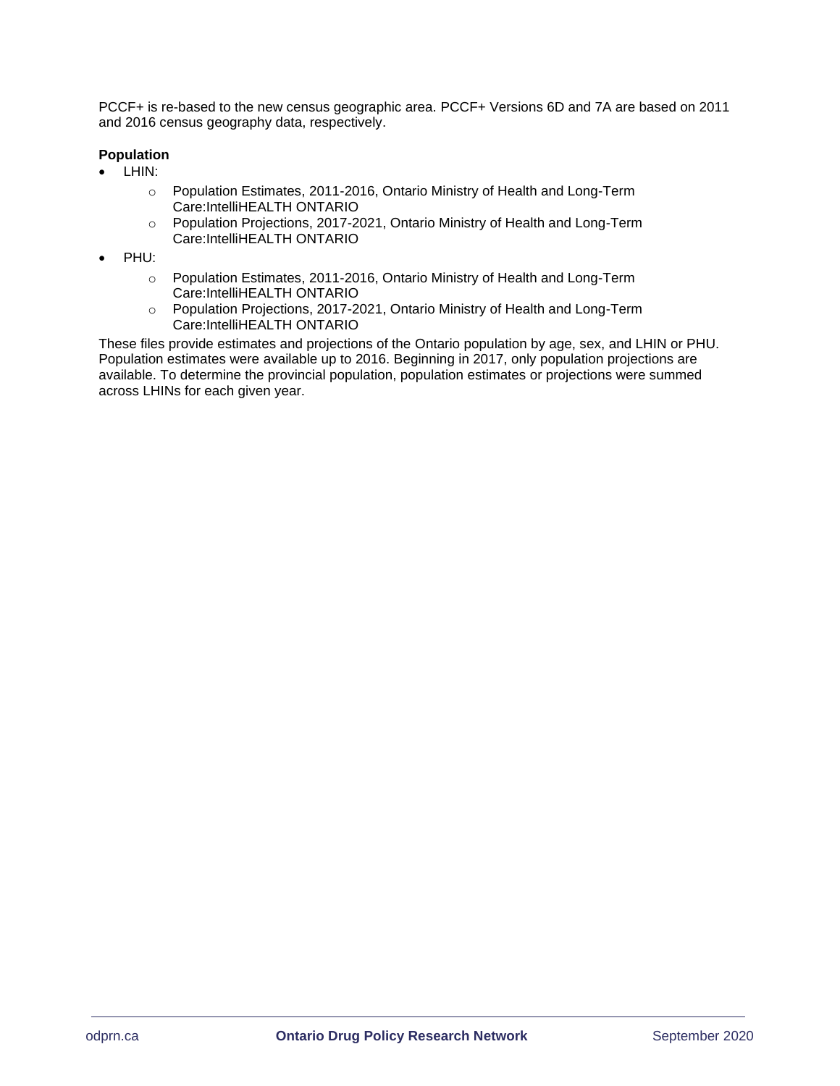PCCF+ is re-based to the new census geographic area. PCCF+ Versions 6D and 7A are based on 2011 and 2016 census geography data, respectively.

#### <span id="page-8-0"></span>**Population**

- LHIN:
	- o Population Estimates, 2011-2016, Ontario Ministry of Health and Long-Term Care:IntelliHEALTH ONTARIO
	- o Population Projections, 2017-2021, Ontario Ministry of Health and Long-Term Care:IntelliHEALTH ONTARIO
- PHU:
	- o Population Estimates, 2011-2016, Ontario Ministry of Health and Long-Term Care:IntelliHEALTH ONTARIO
	- o Population Projections, 2017-2021, Ontario Ministry of Health and Long-Term Care:IntelliHEALTH ONTARIO

These files provide estimates and projections of the Ontario population by age, sex, and LHIN or PHU. Population estimates were available up to 2016. Beginning in 2017, only population projections are available. To determine the provincial population, population estimates or projections were summed across LHINs for each given year.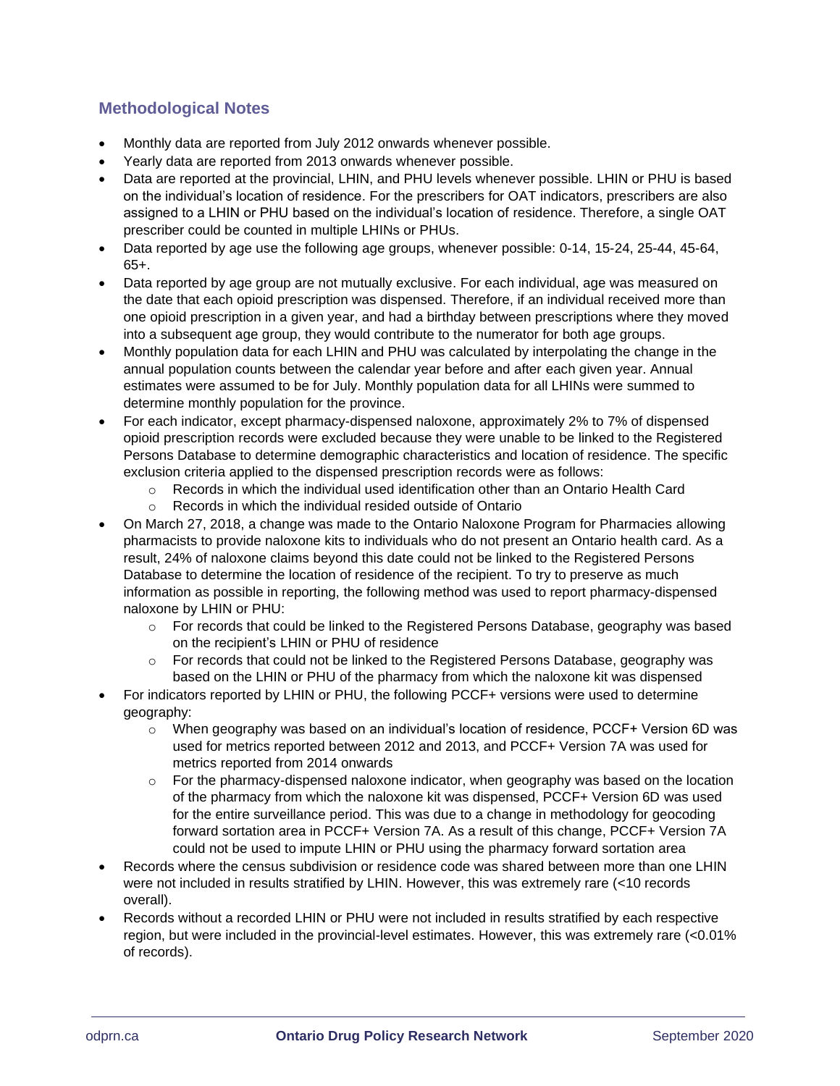# <span id="page-9-0"></span>**Methodological Notes**

- Monthly data are reported from July 2012 onwards whenever possible.
- Yearly data are reported from 2013 onwards whenever possible.
- Data are reported at the provincial, LHIN, and PHU levels whenever possible. LHIN or PHU is based on the individual's location of residence. For the prescribers for OAT indicators, prescribers are also assigned to a LHIN or PHU based on the individual's location of residence. Therefore, a single OAT prescriber could be counted in multiple LHINs or PHUs.
- Data reported by age use the following age groups, whenever possible: 0-14, 15-24, 25-44, 45-64, 65+.
- Data reported by age group are not mutually exclusive. For each individual, age was measured on the date that each opioid prescription was dispensed. Therefore, if an individual received more than one opioid prescription in a given year, and had a birthday between prescriptions where they moved into a subsequent age group, they would contribute to the numerator for both age groups.
- Monthly population data for each LHIN and PHU was calculated by interpolating the change in the annual population counts between the calendar year before and after each given year. Annual estimates were assumed to be for July. Monthly population data for all LHINs were summed to determine monthly population for the province.
- For each indicator, except pharmacy-dispensed naloxone, approximately 2% to 7% of dispensed opioid prescription records were excluded because they were unable to be linked to the Registered Persons Database to determine demographic characteristics and location of residence. The specific exclusion criteria applied to the dispensed prescription records were as follows:
	- $\circ$  Records in which the individual used identification other than an Ontario Health Card
	- o Records in which the individual resided outside of Ontario
- On March 27, 2018, a change was made to the Ontario Naloxone Program for Pharmacies allowing pharmacists to provide naloxone kits to individuals who do not present an Ontario health card. As a result, 24% of naloxone claims beyond this date could not be linked to the Registered Persons Database to determine the location of residence of the recipient. To try to preserve as much information as possible in reporting, the following method was used to report pharmacy-dispensed naloxone by LHIN or PHU:
	- o For records that could be linked to the Registered Persons Database, geography was based on the recipient's LHIN or PHU of residence
	- $\circ$  For records that could not be linked to the Registered Persons Database, geography was based on the LHIN or PHU of the pharmacy from which the naloxone kit was dispensed
- For indicators reported by LHIN or PHU, the following PCCF+ versions were used to determine geography:
	- o When geography was based on an individual's location of residence, PCCF+ Version 6D was used for metrics reported between 2012 and 2013, and PCCF+ Version 7A was used for metrics reported from 2014 onwards
	- $\circ$  For the pharmacy-dispensed naloxone indicator, when geography was based on the location of the pharmacy from which the naloxone kit was dispensed, PCCF+ Version 6D was used for the entire surveillance period. This was due to a change in methodology for geocoding forward sortation area in PCCF+ Version 7A. As a result of this change, PCCF+ Version 7A could not be used to impute LHIN or PHU using the pharmacy forward sortation area
- Records where the census subdivision or residence code was shared between more than one LHIN were not included in results stratified by LHIN. However, this was extremely rare (<10 records overall).
- Records without a recorded LHIN or PHU were not included in results stratified by each respective region, but were included in the provincial-level estimates. However, this was extremely rare (<0.01% of records).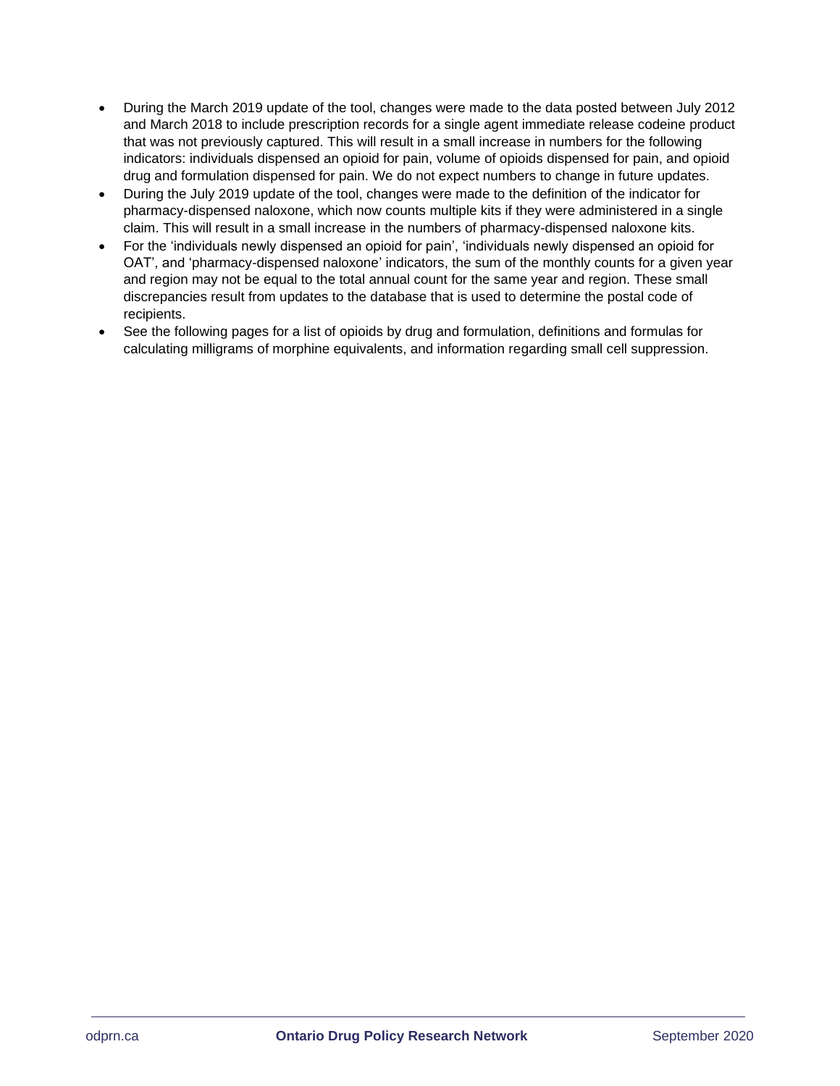- During the March 2019 update of the tool, changes were made to the data posted between July 2012 and March 2018 to include prescription records for a single agent immediate release codeine product that was not previously captured. This will result in a small increase in numbers for the following indicators: individuals dispensed an opioid for pain, volume of opioids dispensed for pain, and opioid drug and formulation dispensed for pain. We do not expect numbers to change in future updates.
- During the July 2019 update of the tool, changes were made to the definition of the indicator for pharmacy-dispensed naloxone, which now counts multiple kits if they were administered in a single claim. This will result in a small increase in the numbers of pharmacy-dispensed naloxone kits.
- For the 'individuals newly dispensed an opioid for pain', 'individuals newly dispensed an opioid for OAT', and 'pharmacy-dispensed naloxone' indicators, the sum of the monthly counts for a given year and region may not be equal to the total annual count for the same year and region. These small discrepancies result from updates to the database that is used to determine the postal code of recipients.
- See the following pages for a list of opioids by drug and formulation, definitions and formulas for calculating milligrams of morphine equivalents, and information regarding small cell suppression.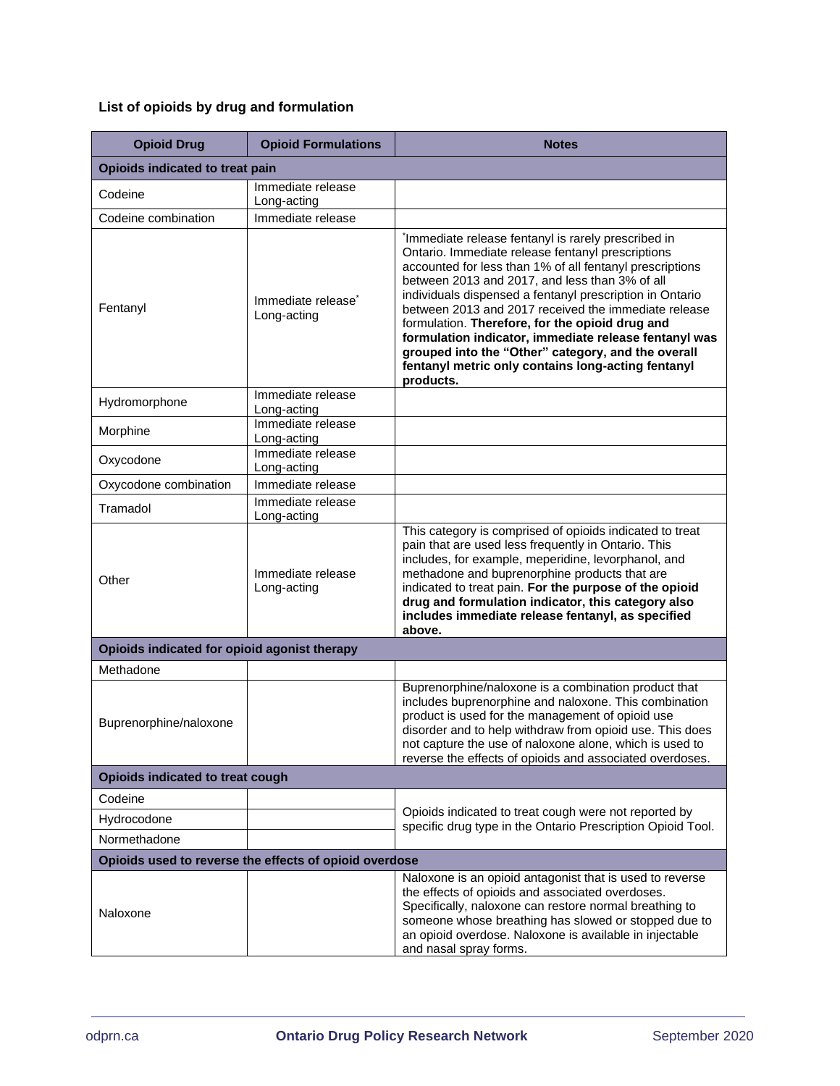# <span id="page-11-0"></span>**List of opioids by drug and formulation**

| <b>Opioid Drug</b>                           | <b>Opioid Formulations</b>                             | <b>Notes</b>                                                                                                                                                                                                                                                                                                                                                                                                                                                                                                                                                                                |  |  |  |
|----------------------------------------------|--------------------------------------------------------|---------------------------------------------------------------------------------------------------------------------------------------------------------------------------------------------------------------------------------------------------------------------------------------------------------------------------------------------------------------------------------------------------------------------------------------------------------------------------------------------------------------------------------------------------------------------------------------------|--|--|--|
| Opioids indicated to treat pain              |                                                        |                                                                                                                                                                                                                                                                                                                                                                                                                                                                                                                                                                                             |  |  |  |
| Codeine                                      | Immediate release<br>Long-acting                       |                                                                                                                                                                                                                                                                                                                                                                                                                                                                                                                                                                                             |  |  |  |
| Codeine combination                          | Immediate release                                      |                                                                                                                                                                                                                                                                                                                                                                                                                                                                                                                                                                                             |  |  |  |
| Fentanyl                                     | Immediate release <sup>*</sup><br>Long-acting          | <sup>*</sup> Immediate release fentanyl is rarely prescribed in<br>Ontario. Immediate release fentanyl prescriptions<br>accounted for less than 1% of all fentanyl prescriptions<br>between 2013 and 2017, and less than 3% of all<br>individuals dispensed a fentanyl prescription in Ontario<br>between 2013 and 2017 received the immediate release<br>formulation. Therefore, for the opioid drug and<br>formulation indicator, immediate release fentanyl was<br>grouped into the "Other" category, and the overall<br>fentanyl metric only contains long-acting fentanyl<br>products. |  |  |  |
| Hydromorphone                                | Immediate release<br>Long-acting                       |                                                                                                                                                                                                                                                                                                                                                                                                                                                                                                                                                                                             |  |  |  |
| Morphine                                     | Immediate release<br>Long-acting                       |                                                                                                                                                                                                                                                                                                                                                                                                                                                                                                                                                                                             |  |  |  |
| Oxycodone                                    | Immediate release<br>Long-acting                       |                                                                                                                                                                                                                                                                                                                                                                                                                                                                                                                                                                                             |  |  |  |
| Oxycodone combination                        | Immediate release                                      |                                                                                                                                                                                                                                                                                                                                                                                                                                                                                                                                                                                             |  |  |  |
| Tramadol                                     | Immediate release<br>Long-acting                       |                                                                                                                                                                                                                                                                                                                                                                                                                                                                                                                                                                                             |  |  |  |
| Other                                        | Immediate release<br>Long-acting                       | This category is comprised of opioids indicated to treat<br>pain that are used less frequently in Ontario. This<br>includes, for example, meperidine, levorphanol, and<br>methadone and buprenorphine products that are<br>indicated to treat pain. For the purpose of the opioid<br>drug and formulation indicator, this category also<br>includes immediate release fentanyl, as specified<br>above.                                                                                                                                                                                      |  |  |  |
| Opioids indicated for opioid agonist therapy |                                                        |                                                                                                                                                                                                                                                                                                                                                                                                                                                                                                                                                                                             |  |  |  |
| Methadone                                    |                                                        |                                                                                                                                                                                                                                                                                                                                                                                                                                                                                                                                                                                             |  |  |  |
| Buprenorphine/naloxone                       |                                                        | Buprenorphine/naloxone is a combination product that<br>includes buprenorphine and naloxone. This combination<br>product is used for the management of opioid use<br>disorder and to help withdraw from opioid use. This does<br>not capture the use of naloxone alone, which is used to<br>reverse the effects of opioids and associated overdoses.                                                                                                                                                                                                                                        |  |  |  |
| Opioids indicated to treat cough             |                                                        |                                                                                                                                                                                                                                                                                                                                                                                                                                                                                                                                                                                             |  |  |  |
| Codeine                                      |                                                        |                                                                                                                                                                                                                                                                                                                                                                                                                                                                                                                                                                                             |  |  |  |
| Hydrocodone                                  |                                                        | Opioids indicated to treat cough were not reported by<br>specific drug type in the Ontario Prescription Opioid Tool.                                                                                                                                                                                                                                                                                                                                                                                                                                                                        |  |  |  |
| Normethadone                                 |                                                        |                                                                                                                                                                                                                                                                                                                                                                                                                                                                                                                                                                                             |  |  |  |
|                                              | Opioids used to reverse the effects of opioid overdose |                                                                                                                                                                                                                                                                                                                                                                                                                                                                                                                                                                                             |  |  |  |
| Naloxone                                     |                                                        | Naloxone is an opioid antagonist that is used to reverse<br>the effects of opioids and associated overdoses.<br>Specifically, naloxone can restore normal breathing to<br>someone whose breathing has slowed or stopped due to<br>an opioid overdose. Naloxone is available in injectable<br>and nasal spray forms.                                                                                                                                                                                                                                                                         |  |  |  |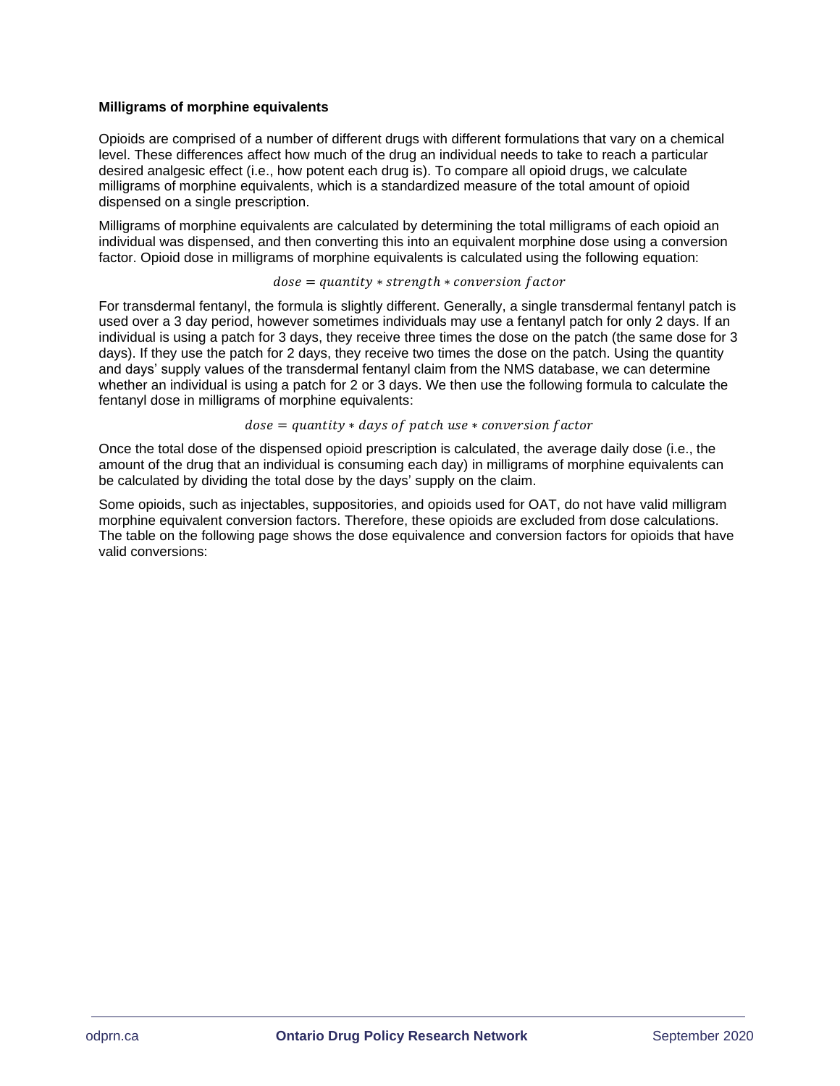#### <span id="page-12-0"></span>**Milligrams of morphine equivalents**

Opioids are comprised of a number of different drugs with different formulations that vary on a chemical level. These differences affect how much of the drug an individual needs to take to reach a particular desired analgesic effect (i.e., how potent each drug is). To compare all opioid drugs, we calculate milligrams of morphine equivalents, which is a standardized measure of the total amount of opioid dispensed on a single prescription.

Milligrams of morphine equivalents are calculated by determining the total milligrams of each opioid an individual was dispensed, and then converting this into an equivalent morphine dose using a conversion factor. Opioid dose in milligrams of morphine equivalents is calculated using the following equation:

#### $dose = quantity * strength * conversion factor$

For transdermal fentanyl, the formula is slightly different. Generally, a single transdermal fentanyl patch is used over a 3 day period, however sometimes individuals may use a fentanyl patch for only 2 days. If an individual is using a patch for 3 days, they receive three times the dose on the patch (the same dose for 3 days). If they use the patch for 2 days, they receive two times the dose on the patch. Using the quantity and days' supply values of the transdermal fentanyl claim from the NMS database, we can determine whether an individual is using a patch for 2 or 3 days. We then use the following formula to calculate the fentanyl dose in milligrams of morphine equivalents:

#### $dose = quantity * days of patch use * conversion factor$

Once the total dose of the dispensed opioid prescription is calculated, the average daily dose (i.e., the amount of the drug that an individual is consuming each day) in milligrams of morphine equivalents can be calculated by dividing the total dose by the days' supply on the claim.

Some opioids, such as injectables, suppositories, and opioids used for OAT, do not have valid milligram morphine equivalent conversion factors. Therefore, these opioids are excluded from dose calculations. The table on the following page shows the dose equivalence and conversion factors for opioids that have valid conversions: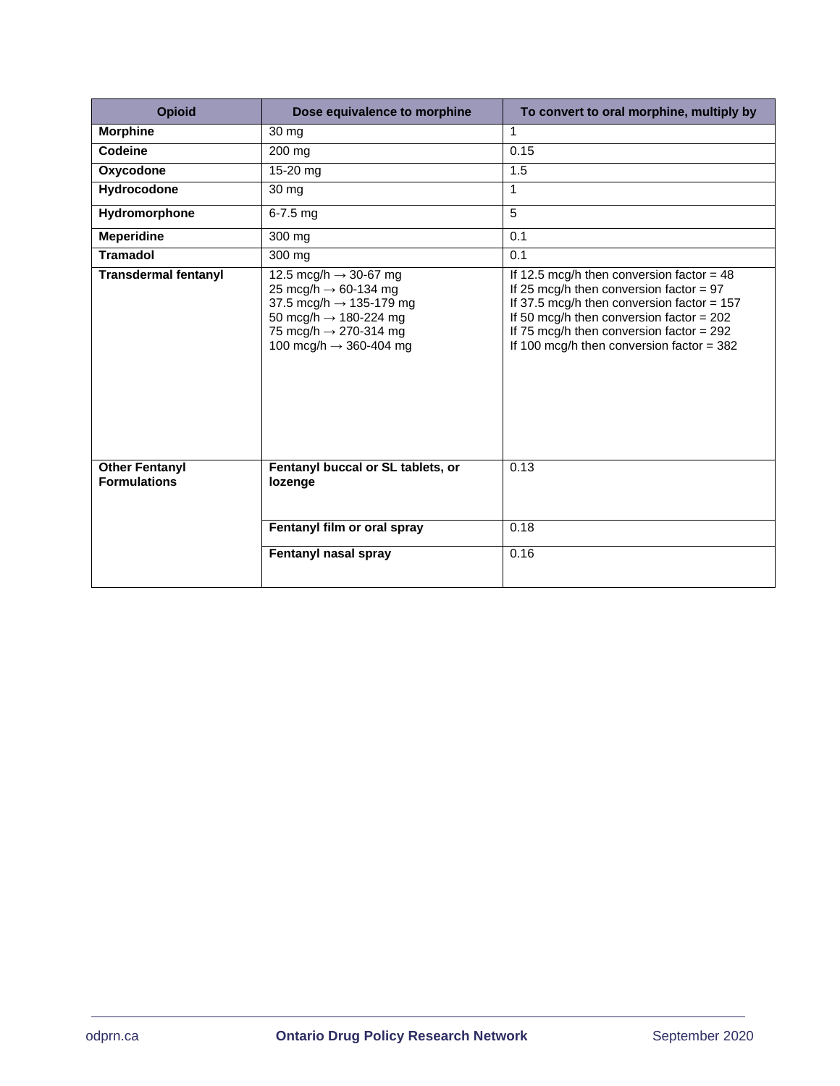| <b>Opioid</b>                                | Dose equivalence to morphine                                                                                                                                                                                                 | To convert to oral morphine, multiply by                                                                                                                                                                                                                                            |
|----------------------------------------------|------------------------------------------------------------------------------------------------------------------------------------------------------------------------------------------------------------------------------|-------------------------------------------------------------------------------------------------------------------------------------------------------------------------------------------------------------------------------------------------------------------------------------|
| <b>Morphine</b>                              | 30 mg                                                                                                                                                                                                                        | 1                                                                                                                                                                                                                                                                                   |
| Codeine                                      | 200 mg                                                                                                                                                                                                                       | 0.15                                                                                                                                                                                                                                                                                |
| Oxycodone                                    | 15-20 mg                                                                                                                                                                                                                     | 1.5                                                                                                                                                                                                                                                                                 |
| Hydrocodone                                  | $\overline{30}$ mg                                                                                                                                                                                                           | $\mathbf{1}$                                                                                                                                                                                                                                                                        |
| Hydromorphone                                | $6 - 7.5$ mg                                                                                                                                                                                                                 | $\overline{5}$                                                                                                                                                                                                                                                                      |
| <b>Meperidine</b>                            | 300 mg                                                                                                                                                                                                                       | 0.1                                                                                                                                                                                                                                                                                 |
| <b>Tramadol</b>                              | 300 mg                                                                                                                                                                                                                       | 0.1                                                                                                                                                                                                                                                                                 |
| <b>Transdermal fentanyl</b>                  | 12.5 mcg/h $\rightarrow$ 30-67 mg<br>25 mcg/h $\rightarrow$ 60-134 mg<br>37.5 mcg/h $\rightarrow$ 135-179 mg<br>50 mcg/h $\rightarrow$ 180-224 mg<br>75 mcg/h $\rightarrow$ 270-314 mg<br>100 mcg/h $\rightarrow$ 360-404 mg | If 12.5 mcg/h then conversion factor = $48$<br>If 25 mcg/h then conversion factor = $97$<br>If 37.5 mcg/h then conversion factor = $157$<br>If 50 mcg/h then conversion factor $= 202$<br>If 75 mcg/h then conversion factor = $292$<br>If 100 mcg/h then conversion factor = $382$ |
| <b>Other Fentanyl</b><br><b>Formulations</b> | Fentanyl buccal or SL tablets, or<br>lozenge                                                                                                                                                                                 | 0.13                                                                                                                                                                                                                                                                                |
|                                              | Fentanyl film or oral spray                                                                                                                                                                                                  | 0.18                                                                                                                                                                                                                                                                                |
|                                              | Fentanyl nasal spray                                                                                                                                                                                                         | 0.16                                                                                                                                                                                                                                                                                |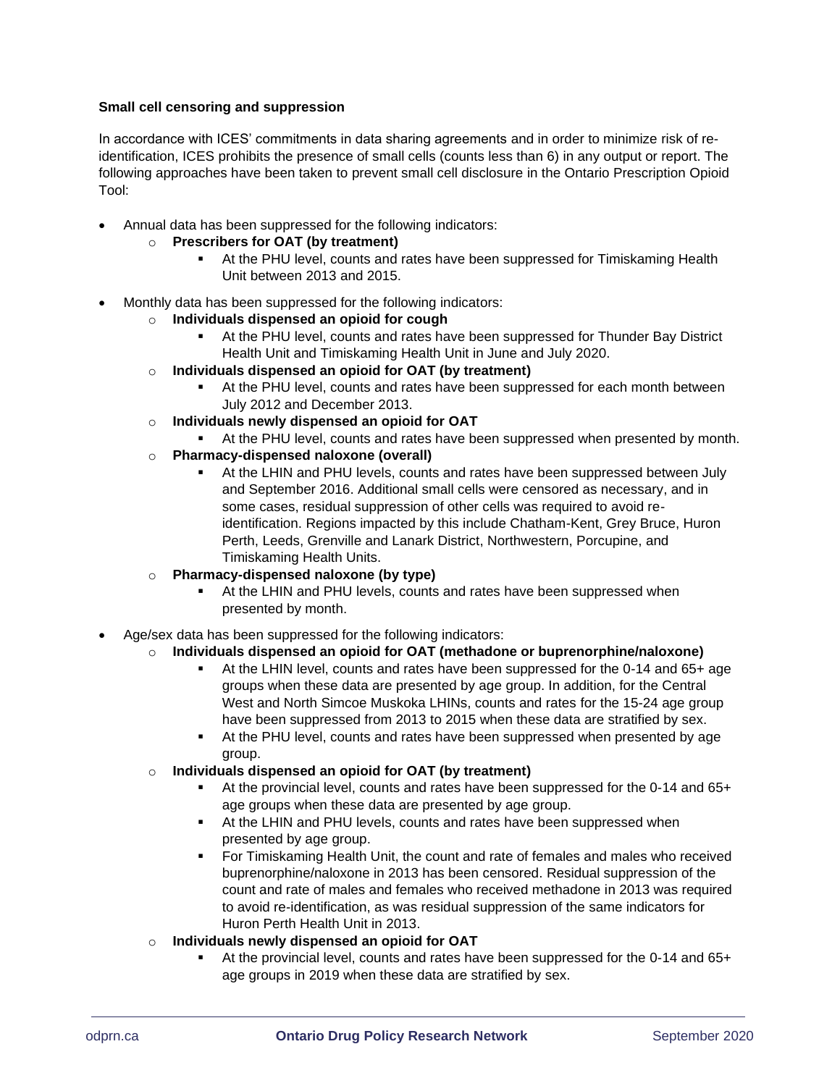### <span id="page-14-0"></span>**Small cell censoring and suppression**

In accordance with ICES' commitments in data sharing agreements and in order to minimize risk of reidentification, ICES prohibits the presence of small cells (counts less than 6) in any output or report. The following approaches have been taken to prevent small cell disclosure in the Ontario Prescription Opioid Tool:

• Annual data has been suppressed for the following indicators:

### o **Prescribers for OAT (by treatment)**

- At the PHU level, counts and rates have been suppressed for Timiskaming Health Unit between 2013 and 2015.
- Monthly data has been suppressed for the following indicators:
	- o **Individuals dispensed an opioid for cough**
		- At the PHU level, counts and rates have been suppressed for Thunder Bay District Health Unit and Timiskaming Health Unit in June and July 2020.
	- o **Individuals dispensed an opioid for OAT (by treatment)**
		- At the PHU level, counts and rates have been suppressed for each month between July 2012 and December 2013.
	- o **Individuals newly dispensed an opioid for OAT** 
		- At the PHU level, counts and rates have been suppressed when presented by month.
	- o **Pharmacy-dispensed naloxone (overall)**
		- **EXECT At the LHIN and PHU levels, counts and rates have been suppressed between July** and September 2016. Additional small cells were censored as necessary, and in some cases, residual suppression of other cells was required to avoid reidentification. Regions impacted by this include Chatham-Kent, Grey Bruce, Huron Perth, Leeds, Grenville and Lanark District, Northwestern, Porcupine, and Timiskaming Health Units.
	- o **Pharmacy-dispensed naloxone (by type)**
		- At the LHIN and PHU levels, counts and rates have been suppressed when presented by month.
- Age/sex data has been suppressed for the following indicators:

# o **Individuals dispensed an opioid for OAT (methadone or buprenorphine/naloxone)**

- At the LHIN level, counts and rates have been suppressed for the 0-14 and 65+ age groups when these data are presented by age group. In addition, for the Central West and North Simcoe Muskoka LHINs, counts and rates for the 15-24 age group have been suppressed from 2013 to 2015 when these data are stratified by sex.
- **EXECT At the PHU level, counts and rates have been suppressed when presented by age** group.
- o **Individuals dispensed an opioid for OAT (by treatment)**
	- At the provincial level, counts and rates have been suppressed for the 0-14 and 65+ age groups when these data are presented by age group.
	- At the LHIN and PHU levels, counts and rates have been suppressed when presented by age group.
	- For Timiskaming Health Unit, the count and rate of females and males who received buprenorphine/naloxone in 2013 has been censored. Residual suppression of the count and rate of males and females who received methadone in 2013 was required to avoid re-identification, as was residual suppression of the same indicators for Huron Perth Health Unit in 2013.
- o **Individuals newly dispensed an opioid for OAT** 
	- At the provincial level, counts and rates have been suppressed for the 0-14 and 65+ age groups in 2019 when these data are stratified by sex.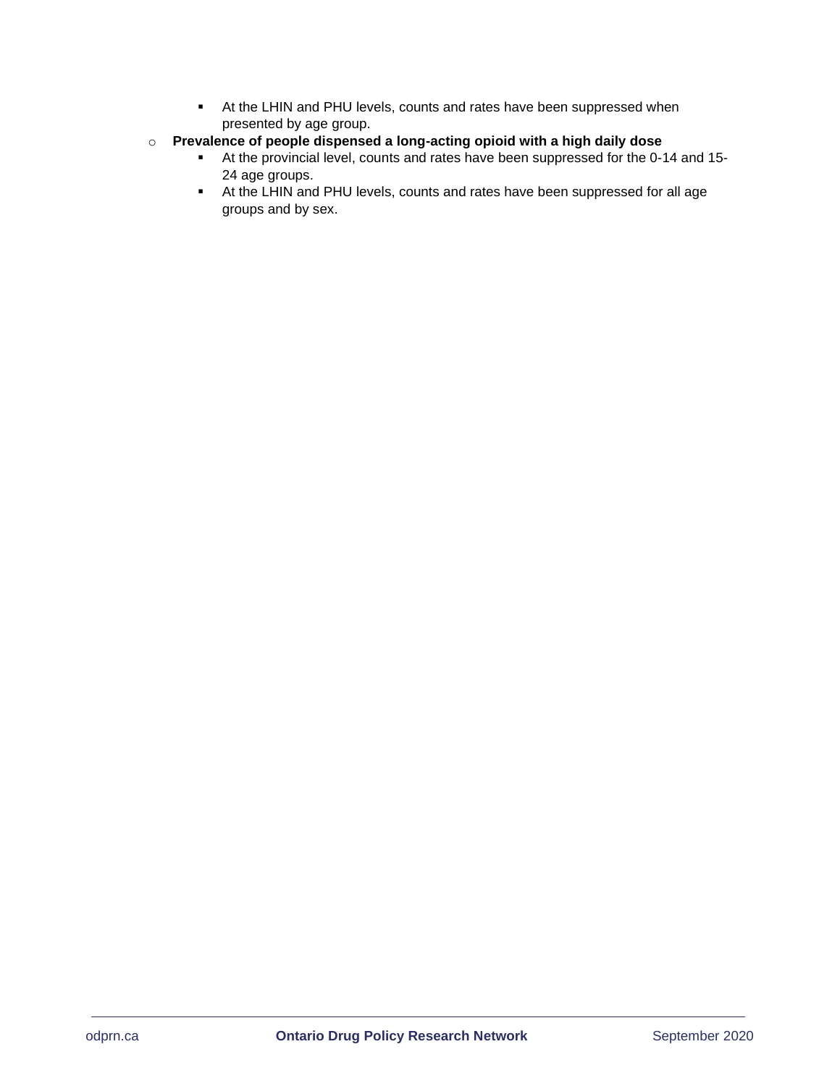- At the LHIN and PHU levels, counts and rates have been suppressed when presented by age group.
- o **Prevalence of people dispensed a long-acting opioid with a high daily dose**
	- At the provincial level, counts and rates have been suppressed for the 0-14 and 15- 24 age groups.
	- At the LHIN and PHU levels, counts and rates have been suppressed for all age groups and by sex.